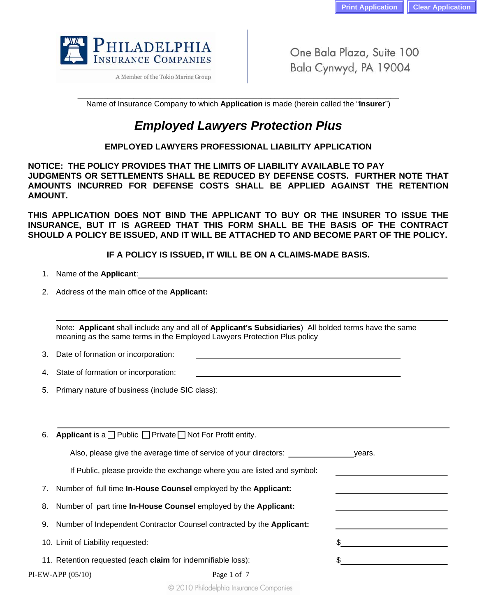

A Member of the Tokio Marine Group

One Bala Plaza, Suite 100 Bala Cynwyd, PA 19004

\_\_\_\_\_\_\_\_\_\_\_\_\_\_\_\_\_\_\_\_\_\_\_\_\_\_\_\_\_\_\_\_\_\_\_\_\_\_\_\_\_\_\_\_\_\_\_\_\_\_\_\_\_\_\_\_\_\_\_\_\_\_\_\_\_\_\_\_\_\_\_\_\_\_\_ Name of Insurance Company to which **Application** is made (herein called the "**Insurer**")

# *Employed Lawyers Protection Plus*

# **EMPLOYED LAWYERS PROFESSIONAL LIABILITY APPLICATION**

**NOTICE: THE POLICY PROVIDES THAT THE LIMITS OF LIABILITY AVAILABLE TO PAY JUDGMENTS OR SETTLEMENTS SHALL BE REDUCED BY DEFENSE COSTS. FURTHER NOTE THAT AMOUNTS INCURRED FOR DEFENSE COSTS SHALL BE APPLIED AGAINST THE RETENTION AMOUNT.** 

**THIS APPLICATION DOES NOT BIND THE APPLICANT TO BUY OR THE INSURER TO ISSUE THE INSURANCE, BUT IT IS AGREED THAT THIS FORM SHALL BE THE BASIS OF THE CONTRACT SHOULD A POLICY BE ISSUED, AND IT WILL BE ATTACHED TO AND BECOME PART OF THE POLICY.** 

**IF A POLICY IS ISSUED, IT WILL BE ON A CLAIMS-MADE BASIS.**

- 1. Name of the **Applicant**:
- 2. Address of the main office of the **Applicant:**

Note: **Applicant** shall include any and all of **Applicant's Subsidiaries**) All bolded terms have the same meaning as the same terms in the Employed Lawyers Protection Plus policy

- 3. Date of formation or incorporation:
- 4. State of formation or incorporation:
- 5. Primary nature of business (include SIC class):

| 6. | Applicant is a $\Box$ Public $\Box$ Private $\Box$ Not For Profit entity.     |             |        |
|----|-------------------------------------------------------------------------------|-------------|--------|
|    | Also, please give the average time of service of your directors:              |             | vears. |
|    | If Public, please provide the exchange where you are listed and symbol:       |             |        |
| 7. | Number of full time <b>In-House Counsel</b> employed by the <b>Applicant:</b> |             |        |
| 8. | Number of part time In-House Counsel employed by the Applicant:               |             |        |
| 9. | Number of Independent Contractor Counsel contracted by the Applicant:         |             |        |
|    | 10. Limit of Liability requested:                                             |             |        |
|    | 11. Retention requested (each claim for indemnifiable loss):                  |             |        |
|    | $PI$ -EW-APP $(05/10)$                                                        | Page 1 of 7 |        |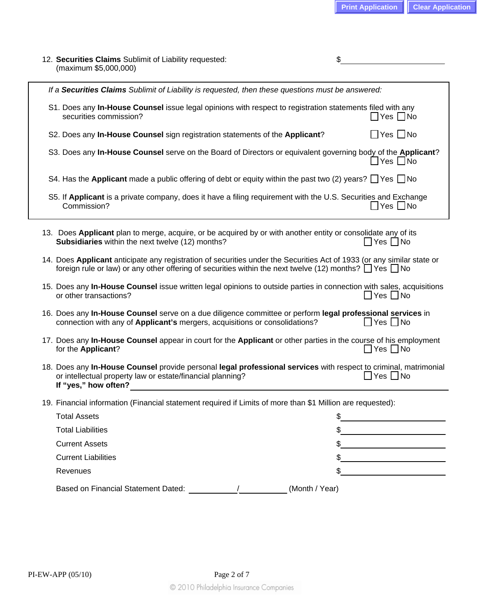| 12. Securities Claims Sublimit of Liability requested:<br>(maximum \$5,000,000)                                                                                                                                                             | \$                   |  |  |  |
|---------------------------------------------------------------------------------------------------------------------------------------------------------------------------------------------------------------------------------------------|----------------------|--|--|--|
| If a Securities Claims Sublimit of Liability is requested, then these questions must be answered:                                                                                                                                           |                      |  |  |  |
| S1. Does any In-House Counsel issue legal opinions with respect to registration statements filed with any<br>securities commission?                                                                                                         | ∐Yes ∐No             |  |  |  |
| S2. Does any In-House Counsel sign registration statements of the Applicant?                                                                                                                                                                | $\Box$ Yes $\Box$ No |  |  |  |
| S3. Does any In-House Counsel serve on the Board of Directors or equivalent governing body of the Applicant?                                                                                                                                | $\Box$ Yes $\Box$ No |  |  |  |
| S4. Has the Applicant made a public offering of debt or equity within the past two (2) years? $\Box$ Yes $\Box$ No                                                                                                                          |                      |  |  |  |
| S5. If Applicant is a private company, does it have a filing requirement with the U.S. Securities and Exchange<br>Commission?                                                                                                               | コYes □No             |  |  |  |
| 13. Does Applicant plan to merge, acquire, or be acquired by or with another entity or consolidate any of its<br>Subsidiaries within the next twelve (12) months?                                                                           | Yes $\Box$ No        |  |  |  |
| 14. Does Applicant anticipate any registration of securities under the Securities Act of 1933 (or any similar state or<br>foreign rule or law) or any other offering of securities within the next twelve (12) months? $\Box$ Yes $\Box$ No |                      |  |  |  |
| 15. Does any In-House Counsel issue written legal opinions to outside parties in connection with sales, acquisitions<br>or other transactions?                                                                                              | ∐Yes ∐No             |  |  |  |
| 16. Does any In-House Counsel serve on a due diligence committee or perform legal professional services in<br>connection with any of Applicant's mergers, acquisitions or consolidations?<br>$\Box$ Yes $\Box$ No                           |                      |  |  |  |
| 17. Does any In-House Counsel appear in court for the Applicant or other parties in the course of his employment<br>for the Applicant?                                                                                                      | $\Box$ Yes $\Box$ No |  |  |  |
| 18. Does any In-House Counsel provide personal legal professional services with respect to criminal, matrimonial<br>or intellectual property law or estate/financial planning?<br>If "yes," how often?                                      | $\Box$ Yes $\Box$ No |  |  |  |
| 19. Financial information (Financial statement required if Limits of more than \$1 Million are requested):                                                                                                                                  |                      |  |  |  |
| <b>Total Assets</b>                                                                                                                                                                                                                         | \$                   |  |  |  |
| <b>Total Liabilities</b>                                                                                                                                                                                                                    | \$                   |  |  |  |
| <b>Current Assets</b>                                                                                                                                                                                                                       |                      |  |  |  |
| <b>Current Liabilities</b>                                                                                                                                                                                                                  |                      |  |  |  |
| Revenues                                                                                                                                                                                                                                    |                      |  |  |  |
| Based on Financial Statement Dated:                                                                                                                                                                                                         | (Month / Year)       |  |  |  |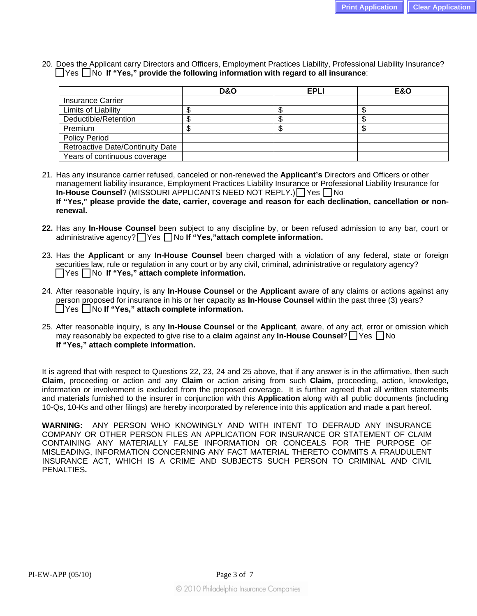20. Does the Applicant carry Directors and Officers, Employment Practices Liability, Professional Liability Insurance? □ Yes □ No If "Yes," provide the following information with regard to all insurance:

|                                         | D&O | <b>EPLI</b> | <b>E&amp;O</b> |
|-----------------------------------------|-----|-------------|----------------|
| <b>Insurance Carrier</b>                |     |             |                |
| Limits of Liability                     |     |             |                |
| Deductible/Retention                    |     |             |                |
| Premium                                 | s.  |             |                |
| <b>Policy Period</b>                    |     |             |                |
| <b>Retroactive Date/Continuity Date</b> |     |             |                |
| Years of continuous coverage            |     |             |                |

21. Has any insurance carrier refused, canceled or non-renewed the **Applicant's** Directors and Officers or other management liability insurance, Employment Practices Liability Insurance or Professional Liability Insurance for **In-House Counsel**? (MISSOURI APPLICANTS NEED NOT REPLY.) <sup>Yes</sup> No **If "Yes," please provide the date, carrier, coverage and reason for each declination, cancellation or nonrenewal.** 

- **22.** Has any **In-House Counsel** been subject to any discipline by, or been refused admission to any bar, court or administrative agency? **No If "Yes,"attach complete information.**
- 23. Has the **Applicant** or any **In-House Counsel** been charged with a violation of any federal, state or foreign securities law, rule or regulation in any court or by any civil, criminal, administrative or regulatory agency? Yes No **If "Yes," attach complete information.**
- 24. After reasonable inquiry, is any **In-House Counsel** or the **Applicant** aware of any claims or actions against any person proposed for insurance in his or her capacity as **In-House Counsel** within the past three (3) years? Yes No **If "Yes," attach complete information.**
- 25. After reasonable inquiry, is any **In-House Counsel** or the **Applicant**, aware, of any act, error or omission which may reasonably be expected to give rise to a **claim** against any **In-House Counsel**? Thes Tho **If "Yes," attach complete information.**

It is agreed that with respect to Questions 22, 23, 24 and 25 above, that if any answer is in the affirmative, then such **Claim**, proceeding or action and any **Claim** or action arising from such **Claim**, proceeding, action, knowledge, information or involvement is excluded from the proposed coverage. It is further agreed that all written statements and materials furnished to the insurer in conjunction with this **Application** along with all public documents (including 10-Qs, 10-Ks and other filings) are hereby incorporated by reference into this application and made a part hereof.

**WARNING:** ANY PERSON WHO KNOWINGLY AND WITH INTENT TO DEFRAUD ANY INSURANCE COMPANY OR OTHER PERSON FILES AN APPLICATION FOR INSURANCE OR STATEMENT OF CLAIM CONTAINING ANY MATERIALLY FALSE INFORMATION OR CONCEALS FOR THE PURPOSE OF MISLEADING, INFORMATION CONCERNING ANY FACT MATERIAL THERETO COMMITS A FRAUDULENT INSURANCE ACT, WHICH IS A CRIME AND SUBJECTS SUCH PERSON TO CRIMINAL AND CIVIL PENALTIES**.**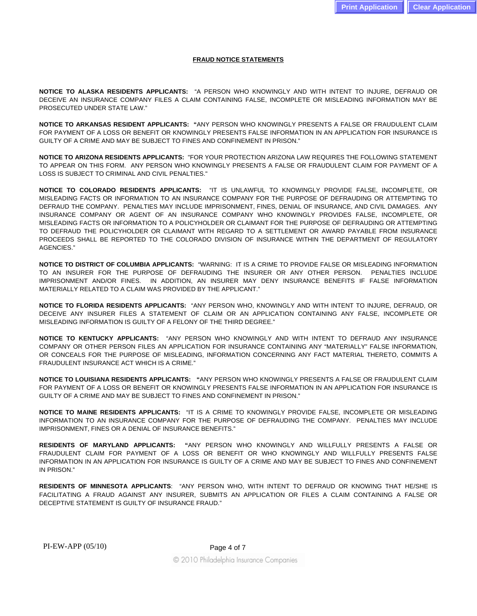#### **FRAUD NOTICE STATEMENTS**

**NOTICE TO ALASKA RESIDENTS APPLICANTS:** "A PERSON WHO KNOWINGLY AND WITH INTENT TO INJURE, DEFRAUD OR DECEIVE AN INSURANCE COMPANY FILES A CLAIM CONTAINING FALSE, INCOMPLETE OR MISLEADING INFORMATION MAY BE PROSECUTED UNDER STATE LAW."

**NOTICE TO ARKANSAS RESIDENT APPLICANTS: "**ANY PERSON WHO KNOWINGLY PRESENTS A FALSE OR FRAUDULENT CLAIM FOR PAYMENT OF A LOSS OR BENEFIT OR KNOWINGLY PRESENTS FALSE INFORMATION IN AN APPLICATION FOR INSURANCE IS GUILTY OF A CRIME AND MAY BE SUBJECT TO FINES AND CONFINEMENT IN PRISON."

**NOTICE TO ARIZONA RESIDENTS APPLICANTS:** "FOR YOUR PROTECTION ARIZONA LAW REQUIRES THE FOLLOWING STATEMENT TO APPEAR ON THIS FORM. ANY PERSON WHO KNOWINGLY PRESENTS A FALSE OR FRAUDULENT CLAIM FOR PAYMENT OF A LOSS IS SUBJECT TO CRIMINAL AND CIVIL PENALTIES."

**NOTICE TO COLORADO RESIDENTS APPLICANTS:** "IT IS UNLAWFUL TO KNOWINGLY PROVIDE FALSE, INCOMPLETE, OR MISLEADING FACTS OR INFORMATION TO AN INSURANCE COMPANY FOR THE PURPOSE OF DEFRAUDING OR ATTEMPTING TO DEFRAUD THE COMPANY. PENALTIES MAY INCLUDE IMPRISONMENT, FINES, DENIAL OF INSURANCE, AND CIVIL DAMAGES. ANY INSURANCE COMPANY OR AGENT OF AN INSURANCE COMPANY WHO KNOWINGLY PROVIDES FALSE, INCOMPLETE, OR MISLEADING FACTS OR INFORMATION TO A POLICYHOLDER OR CLAIMANT FOR THE PURPOSE OF DEFRAUDING OR ATTEMPTING TO DEFRAUD THE POLICYHOLDER OR CLAIMANT WITH REGARD TO A SETTLEMENT OR AWARD PAYABLE FROM INSURANCE PROCEEDS SHALL BE REPORTED TO THE COLORADO DIVISION OF INSURANCE WITHIN THE DEPARTMENT OF REGULATORY AGENCIES."

**NOTICE TO DISTRICT OF COLUMBIA APPLICANTS:** "WARNING: IT IS A CRIME TO PROVIDE FALSE OR MISLEADING INFORMATION TO AN INSURER FOR THE PURPOSE OF DEFRAUDING THE INSURER OR ANY OTHER PERSON. PENALTIES INCLUDE IMPRISONMENT AND/OR FINES. IN ADDITION, AN INSURER MAY DENY INSURANCE BENEFITS IF FALSE INFORMATION MATERIALLY RELATED TO A CLAIM WAS PROVIDED BY THE APPLICANT."

**NOTICE TO FLORIDA RESIDENTS APPLICANTS:** "ANY PERSON WHO, KNOWINGLY AND WITH INTENT TO INJURE, DEFRAUD, OR DECEIVE ANY INSURER FILES A STATEMENT OF CLAIM OR AN APPLICATION CONTAINING ANY FALSE, INCOMPLETE OR MISLEADING INFORMATION IS GUILTY OF A FELONY OF THE THIRD DEGREE."

**NOTICE TO KENTUCKY APPLICANTS:** "ANY PERSON WHO KNOWINGLY AND WITH INTENT TO DEFRAUD ANY INSURANCE COMPANY OR OTHER PERSON FILES AN APPLICATION FOR INSURANCE CONTAINING ANY "MATERIALLY" FALSE INFORMATION, OR CONCEALS FOR THE PURPOSE OF MISLEADING, INFORMATION CONCERNING ANY FACT MATERIAL THERETO, COMMITS A FRAUDULENT INSURANCE ACT WHICH IS A CRIME."

**NOTICE TO LOUISIANA RESIDENTS APPLICANTS: "**ANY PERSON WHO KNOWINGLY PRESENTS A FALSE OR FRAUDULENT CLAIM FOR PAYMENT OF A LOSS OR BENEFIT OR KNOWINGLY PRESENTS FALSE INFORMATION IN AN APPLICATION FOR INSURANCE IS GUILTY OF A CRIME AND MAY BE SUBJECT TO FINES AND CONFINEMENT IN PRISON."

**NOTICE TO MAINE RESIDENTS APPLICANTS:** "IT IS A CRIME TO KNOWINGLY PROVIDE FALSE, INCOMPLETE OR MISLEADING INFORMATION TO AN INSURANCE COMPANY FOR THE PURPOSE OF DEFRAUDING THE COMPANY. PENALTIES MAY INCLUDE IMPRISONMENT, FINES OR A DENIAL OF INSURANCE BENEFITS."

**RESIDENTS OF MARYLAND APPLICANTS: "**ANY PERSON WHO KNOWINGLY AND WILLFULLY PRESENTS A FALSE OR FRAUDULENT CLAIM FOR PAYMENT OF A LOSS OR BENEFIT OR WHO KNOWINGLY AND WILLFULLY PRESENTS FALSE INFORMATION IN AN APPLICATION FOR INSURANCE IS GUILTY OF A CRIME AND MAY BE SUBJECT TO FINES AND CONFINEMENT IN PRISON."

**RESIDENTS OF MINNESOTA APPLICANTS**: "ANY PERSON WHO, WITH INTENT TO DEFRAUD OR KNOWING THAT HE/SHE IS FACILITATING A FRAUD AGAINST ANY INSURER, SUBMITS AN APPLICATION OR FILES A CLAIM CONTAINING A FALSE OR DECEPTIVE STATEMENT IS GUILTY OF INSURANCE FRAUD."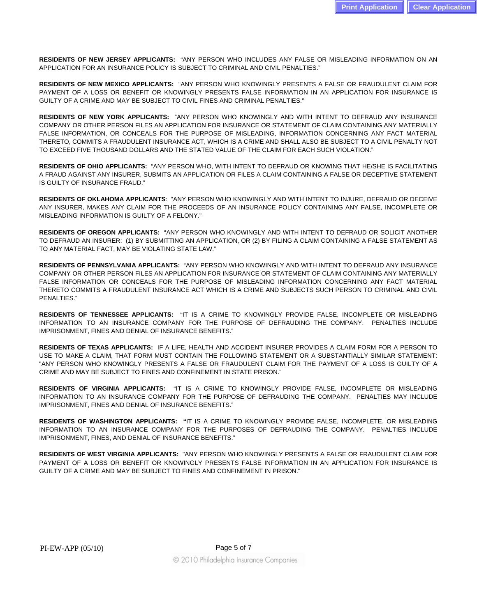**RESIDENTS OF NEW JERSEY APPLICANTS:** "ANY PERSON WHO INCLUDES ANY FALSE OR MISLEADING INFORMATION ON AN APPLICATION FOR AN INSURANCE POLICY IS SUBJECT TO CRIMINAL AND CIVIL PENALTIES."

**RESIDENTS OF NEW MEXICO APPLICANTS:** "ANY PERSON WHO KNOWINGLY PRESENTS A FALSE OR FRAUDULENT CLAIM FOR PAYMENT OF A LOSS OR BENEFIT OR KNOWINGLY PRESENTS FALSE INFORMATION IN AN APPLICATION FOR INSURANCE IS GUILTY OF A CRIME AND MAY BE SUBJECT TO CIVIL FINES AND CRIMINAL PENALTIES."

**RESIDENTS OF NEW YORK APPLICANTS:** "ANY PERSON WHO KNOWINGLY AND WITH INTENT TO DEFRAUD ANY INSURANCE COMPANY OR OTHER PERSON FILES AN APPLICATION FOR INSURANCE OR STATEMENT OF CLAIM CONTAINING ANY MATERIALLY FALSE INFORMATION, OR CONCEALS FOR THE PURPOSE OF MISLEADING, INFORMATION CONCERNING ANY FACT MATERIAL THERETO, COMMITS A FRAUDULENT INSURANCE ACT, WHICH IS A CRIME AND SHALL ALSO BE SUBJECT TO A CIVIL PENALTY NOT TO EXCEED FIVE THOUSAND DOLLARS AND THE STATED VALUE OF THE CLAIM FOR EACH SUCH VIOLATION."

**RESIDENTS OF OHIO APPLICANTS:** "ANY PERSON WHO, WITH INTENT TO DEFRAUD OR KNOWING THAT HE/SHE IS FACILITATING A FRAUD AGAINST ANY INSURER, SUBMITS AN APPLICATION OR FILES A CLAIM CONTAINING A FALSE OR DECEPTIVE STATEMENT IS GUILTY OF INSURANCE FRAUD."

**RESIDENTS OF OKLAHOMA APPLICANTS**: "ANY PERSON WHO KNOWINGLY AND WITH INTENT TO INJURE, DEFRAUD OR DECEIVE ANY INSURER, MAKES ANY CLAIM FOR THE PROCEEDS OF AN INSURANCE POLICY CONTAINING ANY FALSE, INCOMPLETE OR MISLEADING INFORMATION IS GUILTY OF A FELONY."

**RESIDENTS OF OREGON APPLICANTS:** "ANY PERSON WHO KNOWINGLY AND WITH INTENT TO DEFRAUD OR SOLICIT ANOTHER TO DEFRAUD AN INSURER: (1) BY SUBMITTING AN APPLICATION, OR (2) BY FILING A CLAIM CONTAINING A FALSE STATEMENT AS TO ANY MATERIAL FACT, MAY BE VIOLATING STATE LAW."

**RESIDENTS OF PENNSYLVANIA APPLICANTS:** "ANY PERSON WHO KNOWINGLY AND WITH INTENT TO DEFRAUD ANY INSURANCE COMPANY OR OTHER PERSON FILES AN APPLICATION FOR INSURANCE OR STATEMENT OF CLAIM CONTAINING ANY MATERIALLY FALSE INFORMATION OR CONCEALS FOR THE PURPOSE OF MISLEADING INFORMATION CONCERNING ANY FACT MATERIAL THERETO COMMITS A FRAUDULENT INSURANCE ACT WHICH IS A CRIME AND SUBJECTS SUCH PERSON TO CRIMINAL AND CIVIL PENALTIES."

**RESIDENTS OF TENNESSEE APPLICANTS:** "IT IS A CRIME TO KNOWINGLY PROVIDE FALSE, INCOMPLETE OR MISLEADING INFORMATION TO AN INSURANCE COMPANY FOR THE PURPOSE OF DEFRAUDING THE COMPANY. PENALTIES INCLUDE IMPRISONMENT, FINES AND DENIAL OF INSURANCE BENEFITS."

**RESIDENTS OF TEXAS APPLICANTS:** IF A LIFE, HEALTH AND ACCIDENT INSURER PROVIDES A CLAIM FORM FOR A PERSON TO USE TO MAKE A CLAIM, THAT FORM MUST CONTAIN THE FOLLOWING STATEMENT OR A SUBSTANTIALLY SIMILAR STATEMENT: "ANY PERSON WHO KNOWINGLY PRESENTS A FALSE OR FRAUDULENT CLAIM FOR THE PAYMENT OF A LOSS IS GUILTY OF A CRIME AND MAY BE SUBJECT TO FINES AND CONFINEMENT IN STATE PRISON."

**RESIDENTS OF VIRGINIA APPLICANTS:** "IT IS A CRIME TO KNOWINGLY PROVIDE FALSE, INCOMPLETE OR MISLEADING INFORMATION TO AN INSURANCE COMPANY FOR THE PURPOSE OF DEFRAUDING THE COMPANY. PENALTIES MAY INCLUDE IMPRISONMENT, FINES AND DENIAL OF INSURANCE BENEFITS."

**RESIDENTS OF WASHINGTON APPLICANTS: "**IT IS A CRIME TO KNOWINGLY PROVIDE FALSE, INCOMPLETE, OR MISLEADING INFORMATION TO AN INSURANCE COMPANY FOR THE PURPOSES OF DEFRAUDING THE COMPANY. PENALTIES INCLUDE IMPRISONMENT, FINES, AND DENIAL OF INSURANCE BENEFITS."

**RESIDENTS OF WEST VIRGINIA APPLICANTS:** "ANY PERSON WHO KNOWINGLY PRESENTS A FALSE OR FRAUDULENT CLAIM FOR PAYMENT OF A LOSS OR BENEFIT OR KNOWINGLY PRESENTS FALSE INFORMATION IN AN APPLICATION FOR INSURANCE IS GUILTY OF A CRIME AND MAY BE SUBJECT TO FINES AND CONFINEMENT IN PRISON."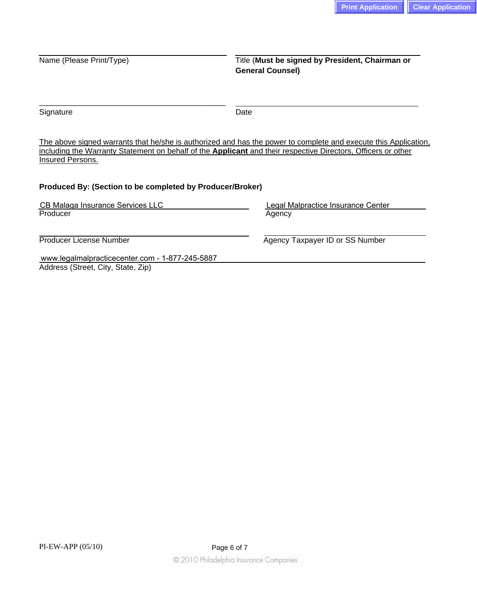# Name (Please Print/Type) Title (Must be signed by President, Chairman or **General Counsel)**

Signature Date

The above signed warrants that he/she is authorized and has the power to complete and execute this Application, including the Warranty Statement on behalf of the **Applicant** and their respective Directors, Officers or other Insured Persons.

### **Produced By: (Section to be completed by Producer/Broker)**

\_\_\_\_\_\_\_\_\_\_\_\_\_\_\_\_\_\_\_\_\_\_\_\_\_\_\_\_\_\_\_\_\_\_\_\_\_\_\_\_\_\_\_

| CB Malaga Insurance Services LLC                | Legal Malpractice Insurance Center |  |  |  |  |
|-------------------------------------------------|------------------------------------|--|--|--|--|
| Producer                                        | Agency                             |  |  |  |  |
|                                                 |                                    |  |  |  |  |
| Producer License Number                         | Agency Taxpayer ID or SS Number    |  |  |  |  |
| www.legalmalpracticecenter.com - 1-877-245-5887 |                                    |  |  |  |  |
| Address (Street, City, State, Zip)              |                                    |  |  |  |  |